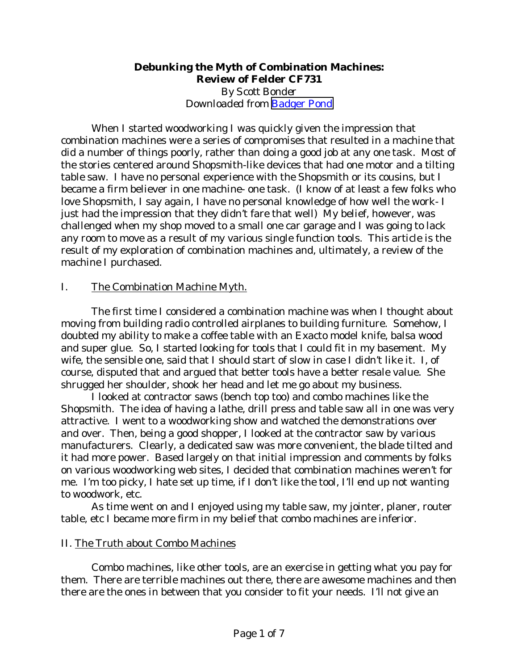### **Debunking the Myth of Combination Machines: Review of Felder CF731** *By Scott Bonder Downloaded from* [Badger Pond](http://www.wwforum.com/)

When I started woodworking I was quickly given the impression that combination machines were a series of compromises that resulted in a machine that did a number of things poorly, rather than doing a good job at any one task. Most of the stories centered around Shopsmith-like devices that had one motor and a tilting table saw. I have no personal experience with the Shopsmith or its cousins, but I became a firm believer in one machine- one task. (I know of at least a few folks who love Shopsmith, I say again, I have no personal knowledge of how well the work- I just had the impression that they didn't fare that well) My belief, however, was challenged when my shop moved to a small one car garage and I was going to lack any room to move as a result of my various single function tools. This article is the result of my exploration of combination machines and, ultimately, a review of the machine I purchased.

## I. The Combination Machine Myth.

The first time I considered a combination machine was when I thought about moving from building radio controlled airplanes to building furniture. Somehow, I doubted my ability to make a coffee table with an Exacto model knife, balsa wood and super glue. So, I started looking for tools that I could fit in my basement. My wife, the sensible one, said that I should start of slow in case I didn't like it. I, of course, disputed that and argued that better tools have a better resale value. She shrugged her shoulder, shook her head and let me go about my business.

I looked at contractor saws (bench top too) and combo machines like the Shopsmith. The idea of having a lathe, drill press and table saw all in one was very attractive. I went to a woodworking show and watched the demonstrations over and over. Then, being a good shopper, I looked at the contractor saw by various manufacturers. Clearly, a dedicated saw was more convenient, the blade tilted and it had more power. Based largely on that initial impression and comments by folks on various woodworking web sites, I decided that combination machines weren't for me. I'm too picky, I hate set up time, if I don't like the tool, I'll end up not wanting to woodwork, etc.

As time went on and I enjoyed using my table saw, my jointer, planer, router table, etc I became more firm in my belief that combo machines are inferior.

## II. The Truth about Combo Machines

Combo machines, like other tools, are an exercise in getting what you pay for them. There are terrible machines out there, there are awesome machines and then there are the ones in between that you consider to fit your needs. I'll not give an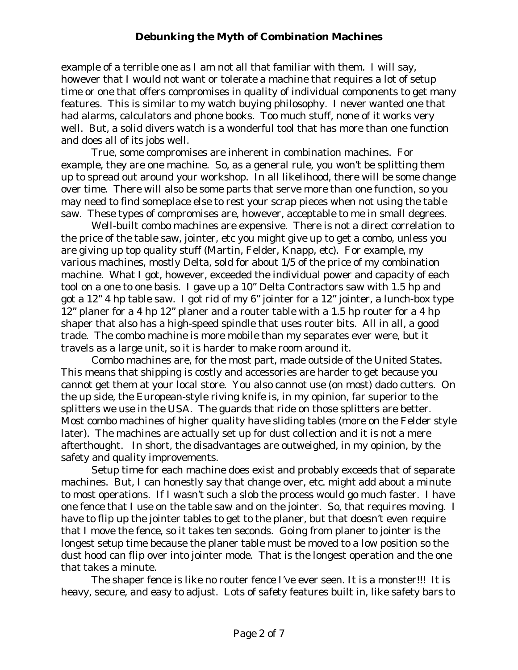example of a terrible one as I am not all that familiar with them. I will say, however that I would not want or tolerate a machine that requires a lot of setup time or one that offers compromises in quality of individual components to get many features. This is similar to my watch buying philosophy. I never wanted one that had alarms, calculators and phone books. Too much stuff, none of it works very well. But, a solid divers watch is a wonderful tool that has more than one function and does all of its jobs well.

True, some compromises are inherent in combination machines. For example, they are one machine. So, as a general rule, you won't be splitting them up to spread out around your workshop. In all likelihood, there will be some change over time. There will also be some parts that serve more than one function, so you may need to find someplace else to rest your scrap pieces when not using the table saw. These types of compromises are, however, acceptable to me in small degrees.

Well-built combo machines are expensive. There is not a direct correlation to the price of the table saw, jointer, etc you might give up to get a combo, unless you are giving up top quality stuff (Martin, Felder, Knapp, etc). For example, my various machines, mostly Delta, sold for about 1/5 of the price of my combination machine. What I got, however, exceeded the individual power and capacity of each tool on a one to one basis. I gave up a 10" Delta Contractors saw with 1.5 hp and got a 12" 4 hp table saw. I got rid of my 6" jointer for a 12" jointer, a lunch-box type 12" planer for a 4 hp 12" planer and a router table with a 1.5 hp router for a 4 hp shaper that also has a high-speed spindle that uses router bits. All in all, a good trade. The combo machine is more mobile than my separates ever were, but it travels as a large unit, so it is harder to make room around it.

Combo machines are, for the most part, made outside of the United States. This means that shipping is costly and accessories are harder to get because you cannot get them at your local store. You also cannot use (on most) dado cutters. On the up side, the European-style riving knife is, in my opinion, far superior to the splitters we use in the USA. The guards that ride on those splitters are better. Most combo machines of higher quality have sliding tables (more on the Felder style later). The machines are actually set up for dust collection and it is not a mere afterthought. In short, the disadvantages are outweighed, in my opinion, by the safety and quality improvements.

Setup time for each machine does exist and probably exceeds that of separate machines. But, I can honestly say that change over, etc. might add about a minute to most operations. If I wasn't such a slob the process would go much faster. I have one fence that I use on the table saw and on the jointer. So, that requires moving. I have to flip up the jointer tables to get to the planer, but that doesn't even require that I move the fence, so it takes ten seconds. Going from planer to jointer is the longest setup time because the planer table must be moved to a low position so the dust hood can flip over into jointer mode. That is the longest operation and the one that takes a minute.

The shaper fence is like no router fence I've ever seen. It is a monster!!! It is heavy, secure, and easy to adjust. Lots of safety features built in, like safety bars to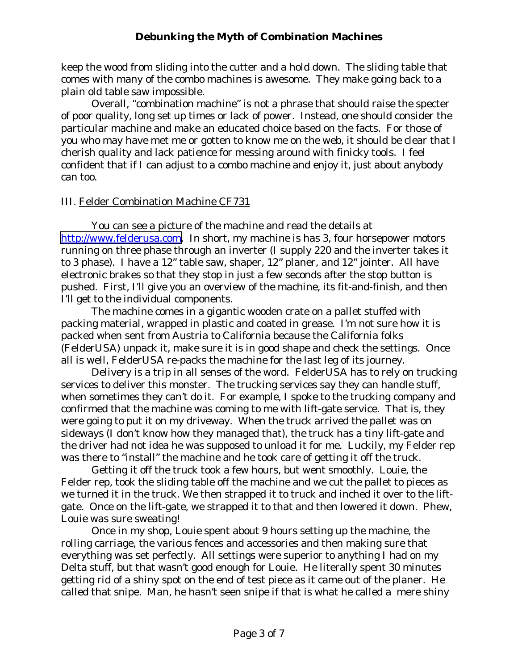keep the wood from sliding into the cutter and a hold down. The sliding table that comes with many of the combo machines is awesome. They make going back to a plain old table saw impossible.

Overall, "combination machine" is not a phrase that should raise the specter of poor quality, long set up times or lack of power. Instead, one should consider the particular machine and make an educated choice based on the facts. For those of you who may have met me or gotten to know me on the web, it should be clear that I cherish quality and lack patience for messing around with finicky tools. I feel confident that if I can adjust to a combo machine and enjoy it, just about anybody can too.

### III. Felder Combination Machine CF731

You can see a picture of the machine and read the details at [http://www.felderusa.com.](http://www.felderusa.com/) In short, my machine is has 3, four horsepower motors running on three phase through an inverter (I supply 220 and the inverter takes it to 3 phase). I have a 12" table saw, shaper, 12" planer, and 12" jointer. All have electronic brakes so that they stop in just a few seconds after the stop button is pushed. First, I'll give you an overview of the machine, its fit-and-finish, and then I'll get to the individual components.

The machine comes in a gigantic wooden crate on a pallet stuffed with packing material, wrapped in plastic and coated in grease. I'm not sure how it is packed when sent from Austria to California because the California folks (FelderUSA) unpack it, make sure it is in good shape and check the settings. Once all is well, FelderUSA re-packs the machine for the last leg of its journey.

Delivery is a trip in all senses of the word. FelderUSA has to rely on trucking services to deliver this monster. The trucking services say they can handle stuff, when sometimes they can't do it. For example, I spoke to the trucking company and confirmed that the machine was coming to me with lift-gate service. That is, they were going to put it on my driveway. When the truck arrived the pallet was on sideways (I don't know how they managed that), the truck has a tiny lift-gate and the driver had not idea he was supposed to unload it for me. Luckily, my Felder rep was there to "install" the machine and he took care of getting it off the truck.

Getting it off the truck took a few hours, but went smoothly. Louie, the Felder rep, took the sliding table off the machine and we cut the pallet to pieces as we turned it in the truck. We then strapped it to truck and inched it over to the liftgate. Once on the lift-gate, we strapped it to that and then lowered it down. Phew, Louie was sure sweating!

Once in my shop, Louie spent about 9 hours setting up the machine, the rolling carriage, the various fences and accessories and then making sure that everything was set perfectly. All settings were superior to anything I had on my Delta stuff, but that wasn't good enough for Louie. He literally spent 30 minutes getting rid of a shiny spot on the end of test piece as it came out of the planer. He called that snipe. Man, he hasn't seen snipe if that is what he called a mere shiny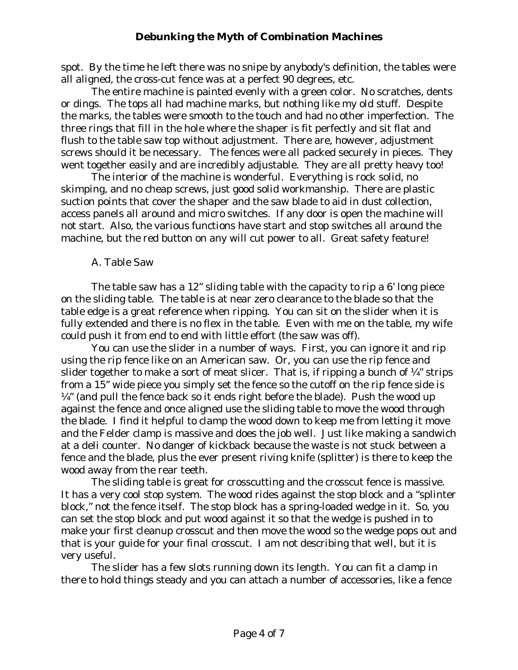spot. By the time he left there was no snipe by anybody's definition, the tables were all aligned, the cross-cut fence was at a perfect 90 degrees, etc.

The entire machine is painted evenly with a green color. No scratches, dents or dings. The tops all had machine marks, but nothing like my old stuff. Despite the marks, the tables were smooth to the touch and had no other imperfection. The three rings that fill in the hole where the shaper is fit perfectly and sit flat and flush to the table saw top without adjustment. There are, however, adjustment screws should it be necessary. The fences were all packed securely in pieces. They went together easily and are incredibly adjustable. They are all pretty heavy too!

The interior of the machine is wonderful. Everything is rock solid, no skimping, and no cheap screws, just good solid workmanship. There are plastic suction points that cover the shaper and the saw blade to aid in dust collection, access panels all around and micro switches. If any door is open the machine will not start. Also, the various functions have start and stop switches all around the machine, but the red button on any will cut power to all. Great safety feature!

### A. Table Saw

The table saw has a 12" sliding table with the capacity to rip a 6' long piece on the sliding table. The table is at near zero clearance to the blade so that the table edge is a great reference when ripping. You can sit on the slider when it is fully extended and there is no flex in the table. Even with me on the table, my wife could push it from end to end with little effort (the saw was off).

You can use the slider in a number of ways. First, you can ignore it and rip using the rip fence like on an American saw. Or, you can use the rip fence and slider together to make a sort of meat slicer. That is, if ripping a bunch of  $\frac{1}{4}$ " strips from a 15" wide piece you simply set the fence so the cutoff on the rip fence side is  $\frac{1}{4}$ " (and pull the fence back so it ends right before the blade). Push the wood up against the fence and once aligned use the sliding table to move the wood through the blade. I find it helpful to clamp the wood down to keep me from letting it move and the Felder clamp is massive and does the job well. Just like making a sandwich at a deli counter. No danger of kickback because the waste is not stuck between a fence and the blade, plus the ever present riving knife (splitter) is there to keep the wood away from the rear teeth.

The sliding table is great for crosscutting and the crosscut fence is massive. It has a very cool stop system. The wood rides against the stop block and a "splinter block," not the fence itself. The stop block has a spring-loaded wedge in it. So, you can set the stop block and put wood against it so that the wedge is pushed in to make your first cleanup crosscut and then move the wood so the wedge pops out and that is your guide for your final crosscut. I am not describing that well, but it is very useful.

The slider has a few slots running down its length. You can fit a clamp in there to hold things steady and you can attach a number of accessories, like a fence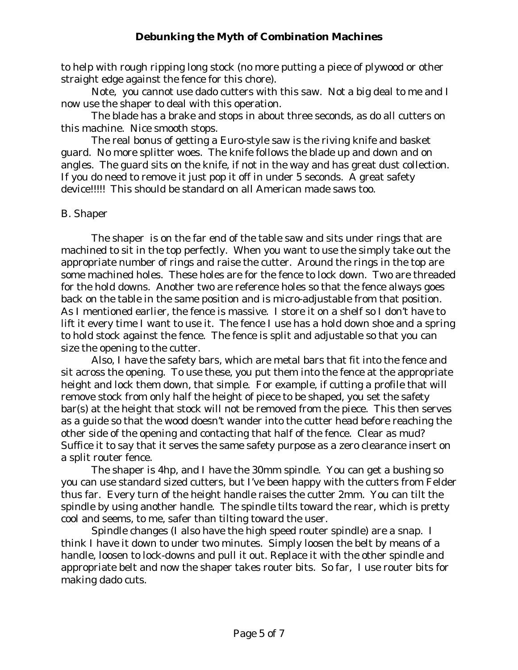to help with rough ripping long stock (no more putting a piece of plywood or other straight edge against the fence for this chore).

Note, you cannot use dado cutters with this saw. Not a big deal to me and I now use the shaper to deal with this operation.

The blade has a brake and stops in about three seconds, as do all cutters on this machine. Nice smooth stops.

The real bonus of getting a Euro-style saw is the riving knife and basket guard. No more splitter woes. The knife follows the blade up and down and on angles. The guard sits on the knife, if not in the way and has great dust collection. If you do need to remove it just pop it off in under 5 seconds. A great safety device!!!!! This should be standard on all American made saws too.

### B. Shaper

The shaper is on the far end of the table saw and sits under rings that are machined to sit in the top perfectly. When you want to use the simply take out the appropriate number of rings and raise the cutter. Around the rings in the top are some machined holes. These holes are for the fence to lock down. Two are threaded for the hold downs. Another two are reference holes so that the fence always goes back on the table in the same position and is micro-adjustable from that position. As I mentioned earlier, the fence is massive. I store it on a shelf so I don't have to lift it every time I want to use it. The fence I use has a hold down shoe and a spring to hold stock against the fence. The fence is split and adjustable so that you can size the opening to the cutter.

Also, I have the safety bars, which are metal bars that fit into the fence and sit across the opening. To use these, you put them into the fence at the appropriate height and lock them down, that simple. For example, if cutting a profile that will remove stock from only half the height of piece to be shaped, you set the safety bar(s) at the height that stock will not be removed from the piece. This then serves as a guide so that the wood doesn't wander into the cutter head before reaching the other side of the opening and contacting that half of the fence. Clear as mud? Suffice it to say that it serves the same safety purpose as a zero clearance insert on a split router fence.

The shaper is 4hp, and I have the 30mm spindle. You can get a bushing so you can use standard sized cutters, but I've been happy with the cutters from Felder thus far. Every turn of the height handle raises the cutter 2mm. You can tilt the spindle by using another handle. The spindle tilts toward the rear, which is pretty cool and seems, to me, safer than tilting toward the user.

Spindle changes (I also have the high speed router spindle) are a snap. I think I have it down to under two minutes. Simply loosen the belt by means of a handle, loosen to lock-downs and pull it out. Replace it with the other spindle and appropriate belt and now the shaper takes router bits. So far, I use router bits for making dado cuts.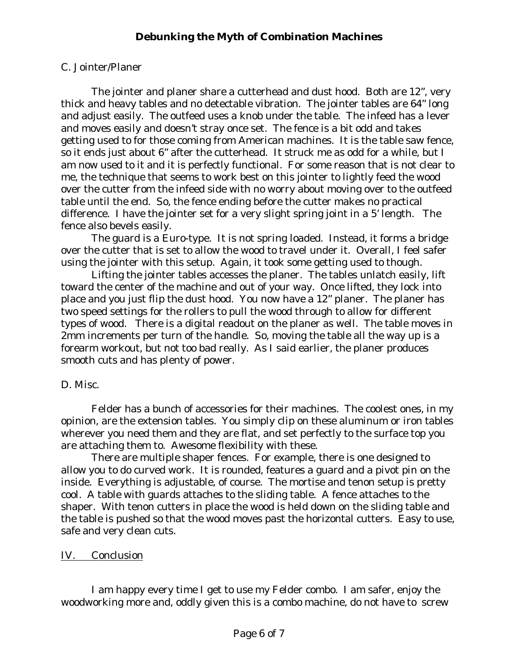# C. Jointer/Planer

The jointer and planer share a cutterhead and dust hood. Both are 12", very thick and heavy tables and no detectable vibration. The jointer tables are 64" long and adjust easily. The outfeed uses a knob under the table. The infeed has a lever and moves easily and doesn't stray once set. The fence is a bit odd and takes getting used to for those coming from American machines. It is the table saw fence, so it ends just about 6" after the cutterhead. It struck me as odd for a while, but I am now used to it and it is perfectly functional. For some reason that is not clear to me, the technique that seems to work best on this jointer to lightly feed the wood over the cutter from the infeed side with no worry about moving over to the outfeed table until the end. So, the fence ending before the cutter makes no practical difference. I have the jointer set for a very slight spring joint in a 5' length. The fence also bevels easily.

The guard is a Euro-type. It is not spring loaded. Instead, it forms a bridge over the cutter that is set to allow the wood to travel under it. Overall, I feel safer using the jointer with this setup. Again, it took some getting used to though.

Lifting the jointer tables accesses the planer. The tables unlatch easily, lift toward the center of the machine and out of your way. Once lifted, they lock into place and you just flip the dust hood. You now have a 12" planer. The planer has two speed settings for the rollers to pull the wood through to allow for different types of wood. There is a digital readout on the planer as well. The table moves in 2mm increments per turn of the handle. So, moving the table all the way up is a forearm workout, but not too bad really. As I said earlier, the planer produces smooth cuts and has plenty of power.

## D. Misc.

Felder has a bunch of accessories for their machines. The coolest ones, in my opinion, are the extension tables. You simply clip on these aluminum or iron tables wherever you need them and they are flat, and set perfectly to the surface top you are attaching them to. Awesome flexibility with these.

There are multiple shaper fences. For example, there is one designed to allow you to do curved work. It is rounded, features a guard and a pivot pin on the inside. Everything is adjustable, of course. The mortise and tenon setup is pretty cool. A table with guards attaches to the sliding table. A fence attaches to the shaper. With tenon cutters in place the wood is held down on the sliding table and the table is pushed so that the wood moves past the horizontal cutters. Easy to use, safe and very clean cuts.

## IV. Conclusion

I am happy every time I get to use my Felder combo. I am safer, enjoy the woodworking more and, oddly given this is a combo machine, do not have to screw